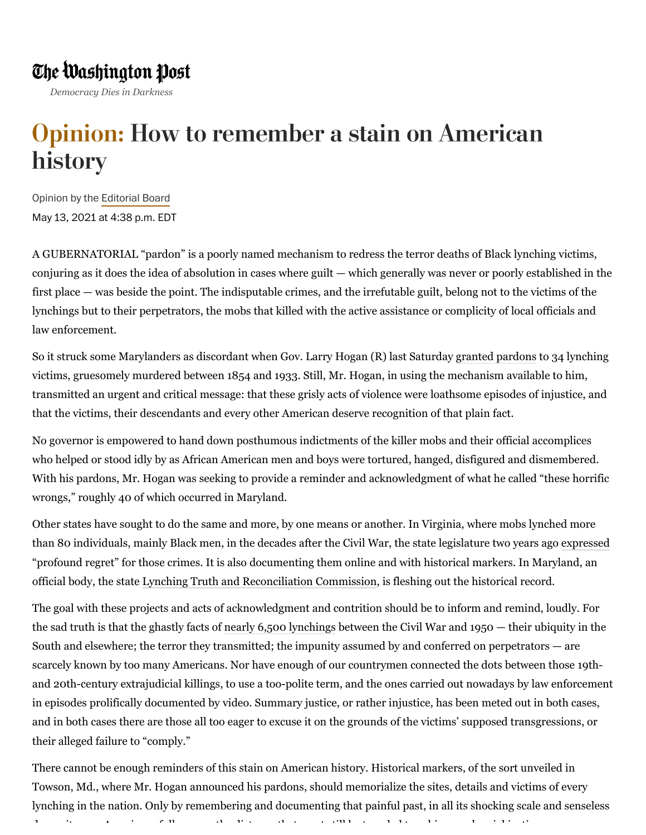## The Washington Post

*Democracy Dies in Darkness*

# Opinion: How to remember a stain on American history

 Opinion by the Editorial Board May 13, 2021 at 4:38 p.m. EDT

A GUBERNATORIAL "pardon" is a poorly named mechanism to redress the terror deaths of Black lynching victims, conjuring as it does the idea of absolution in cases where guilt — which generally was never or poorly established in the first place — was beside the point. The indisputable crimes, and the irrefutable guilt, belong not to the victims of the lynchings but to their perpetrators, the mobs that killed with the active assistance or complicity of local officials and law enforcement.

So it struck some Marylanders as discordant when Gov. Larry Hogan (R) last Saturday granted pardons to 34 lynching victims, gruesomely murdered between 1854 and 1933. Still, Mr. Hogan, in using the mechanism available to him, transmitted an urgent and critical message: that these grisly acts of violence were loathsome episodes of injustice, and that the victims, their descendants and every other American deserve recognition of that plain fact.

No governor is empowered to hand down posthumous indictments of the killer mobs and their official accomplices who helped or stood idly by as African American men and boys were tortured, hanged, disfigured and dismembered. With his pardons, Mr. Hogan was seeking to provide a reminder and acknowledgment of what he called "these horrific wrongs," roughly 40 of which occurred in Maryland.

Other states have sought to do the same and more, by one means or another. In Virginia, where mobs lynched more than 80 individuals, mainly Black men, in the decades after the Civil War, the state legislature two years ago expressed "profound regret" for those crimes. It is also documenting them online and with historical markers. In Maryland, an official body, the state Lynching Truth and Reconciliation Commission, is fleshing out the historical record.

The goal with these projects and acts of acknowledgment and contrition should be to inform and remind, loudly. For the sad truth is that the ghastly facts of nearly 6,500 lynchings between the Civil War and 1950 — their ubiquity in the South and elsewhere; the terror they transmitted; the impunity assumed by and conferred on perpetrators — are scarcely known by too many Americans. Nor have enough of our countrymen connected the dots between those 19thand 20th-century extrajudicial killings, to use a too-polite term, and the ones carried out nowadays by law enforcement in episodes prolifically documented by video. Summary justice, or rather injustice, has been meted out in both cases, and in both cases there are those all too eager to excuse it on the grounds of the victims' supposed transgressions, or their alleged failure to "comply."

There cannot be enough reminders of this stain on American history. Historical markers, of the sort unveiled in Towson, Md., where Mr. Hogan announced his pardons, should memorialize the sites, details and victims of every lynching in the nation. Only by remembering and documenting that painful past, in all its shocking scale and senseless

d it A i f ll th di t till till b till b till b till b till b till b till b till b till b till b till b till t<br>Det stadste